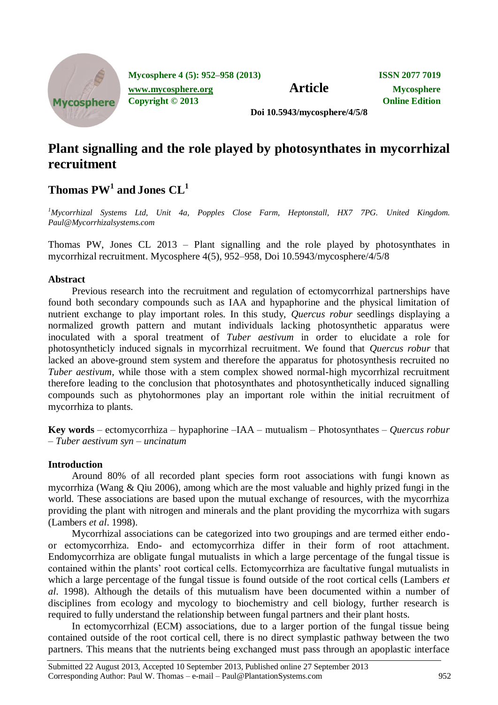

**Mycosphere 4 (5): 952–958 (2013) ISSN 2077 7019 [www.mycosphere.org](http://www.mycosphere.org/) Article Mycosphere** 

**Copyright © 2013 Online Edition**

**Doi 10.5943/mycosphere/4/5/8**

# **Plant signalling and the role played by photosynthates in mycorrhizal recruitment**

**Thomas PW<sup>1</sup> and Jones CL<sup>1</sup>**

*<sup>1</sup>Mycorrhizal Systems Ltd, Unit 4a, Popples Close Farm, Heptonstall, HX7 7PG. United Kingdom. Paul@Mycorrhizalsystems.com*

Thomas PW, Jones CL 2013 – Plant signalling and the role played by photosynthates in mycorrhizal recruitment. Mycosphere 4(5), 952–958, Doi 10.5943/mycosphere/4/5/8

## **Abstract**

Previous research into the recruitment and regulation of ectomycorrhizal partnerships have found both secondary compounds such as IAA and hypaphorine and the physical limitation of nutrient exchange to play important roles. In this study, *Quercus robur* seedlings displaying a normalized growth pattern and mutant individuals lacking photosynthetic apparatus were inoculated with a sporal treatment of *Tuber aestivum* in order to elucidate a role for photosyntheticly induced signals in mycorrhizal recruitment. We found that *Quercus robur* that lacked an above-ground stem system and therefore the apparatus for photosynthesis recruited no *Tuber aestivum,* while those with a stem complex showed normal-high mycorrhizal recruitment therefore leading to the conclusion that photosynthates and photosynthetically induced signalling compounds such as phytohormones play an important role within the initial recruitment of mycorrhiza to plants.

**Key words** – ectomycorrhiza – hypaphorine –IAA – mutualism – Photosynthates – *Quercus robur* – *Tuber aestivum syn* – *uncinatum* 

# **Introduction**

Around 80% of all recorded plant species form root associations with fungi known as mycorrhiza (Wang & Qiu 2006), among which are the most valuable and highly prized fungi in the world. These associations are based upon the mutual exchange of resources, with the mycorrhiza providing the plant with nitrogen and minerals and the plant providing the mycorrhiza with sugars (Lambers *et al*. 1998).

Mycorrhizal associations can be categorized into two groupings and are termed either endoor ectomycorrhiza. Endo- and ectomycorrhiza differ in their form of root attachment. Endomycorrhiza are obligate fungal mutualists in which a large percentage of the fungal tissue is contained within the plants' root cortical cells. Ectomycorrhiza are facultative fungal mutualists in which a large percentage of the fungal tissue is found outside of the root cortical cells (Lambers *et al*. 1998). Although the details of this mutualism have been documented within a number of disciplines from ecology and mycology to biochemistry and cell biology, further research is required to fully understand the relationship between fungal partners and their plant hosts.

In ectomycorrhizal (ECM) associations, due to a larger portion of the fungal tissue being contained outside of the root cortical cell, there is no direct symplastic pathway between the two partners. This means that the nutrients being exchanged must pass through an apoplastic interface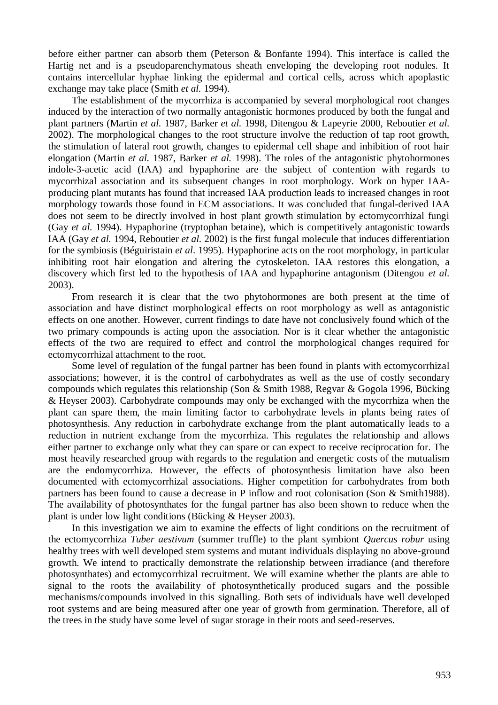before either partner can absorb them (Peterson & Bonfante 1994). This interface is called the Hartig net and is a pseudoparenchymatous sheath enveloping the developing root nodules. It contains intercellular hyphae linking the epidermal and cortical cells, across which apoplastic exchange may take place (Smith *et al.* 1994).

The establishment of the mycorrhiza is accompanied by several morphological root changes induced by the interaction of two normally antagonistic hormones produced by both the fungal and plant partners (Martin *et al.* 1987, Barker *et al.* 1998, Ditengou & Lapeyrie 2000, Reboutier *et al.*  2002). The morphological changes to the root structure involve the reduction of tap root growth, the stimulation of lateral root growth, changes to epidermal cell shape and inhibition of root hair elongation (Martin *et al.* 1987, Barker *et al.* 1998). The roles of the antagonistic phytohormones indole-3-acetic acid (IAA) and hypaphorine are the subject of contention with regards to mycorrhizal association and its subsequent changes in root morphology. Work on hyper IAAproducing plant mutants has found that increased IAA production leads to increased changes in root morphology towards those found in ECM associations. It was concluded that fungal-derived IAA does not seem to be directly involved in host plant growth stimulation by ectomycorrhizal fungi (Gay *et al.* 1994). Hypaphorine (tryptophan betaine), which is competitively antagonistic towards IAA (Gay *et al.* 1994, Reboutier *et al.* 2002) is the first fungal molecule that induces differentiation for the symbiosis (Béguiristain *et al*. 1995). Hypaphorine acts on the root morphology, in particular inhibiting root hair elongation and altering the cytoskeleton. IAA restores this elongation, a discovery which first led to the hypothesis of IAA and hypaphorine antagonism (Ditengou *et al.*  2003).

From research it is clear that the two phytohormones are both present at the time of association and have distinct morphological effects on root morphology as well as antagonistic effects on one another. However, current findings to date have not conclusively found which of the two primary compounds is acting upon the association. Nor is it clear whether the antagonistic effects of the two are required to effect and control the morphological changes required for ectomycorrhizal attachment to the root.

Some level of regulation of the fungal partner has been found in plants with ectomycorrhizal associations; however, it is the control of carbohydrates as well as the use of costly secondary compounds which regulates this relationship (Son & Smith 1988, Regvar & Gogola 1996, Bücking & Heyser 2003). Carbohydrate compounds may only be exchanged with the mycorrhiza when the plant can spare them, the main limiting factor to carbohydrate levels in plants being rates of photosynthesis. Any reduction in carbohydrate exchange from the plant automatically leads to a reduction in nutrient exchange from the mycorrhiza. This regulates the relationship and allows either partner to exchange only what they can spare or can expect to receive reciprocation for. The most heavily researched group with regards to the regulation and energetic costs of the mutualism are the endomycorrhiza. However, the effects of photosynthesis limitation have also been documented with ectomycorrhizal associations. Higher competition for carbohydrates from both partners has been found to cause a decrease in P inflow and root colonisation (Son & Smith1988). The availability of photosynthates for the fungal partner has also been shown to reduce when the plant is under low light conditions (Bücking & Heyser 2003).

In this investigation we aim to examine the effects of light conditions on the recruitment of the ectomycorrhiza *Tuber aestivum* (summer truffle) to the plant symbiont *Quercus robur* using healthy trees with well developed stem systems and mutant individuals displaying no above-ground growth. We intend to practically demonstrate the relationship between irradiance (and therefore photosynthates) and ectomycorrhizal recruitment. We will examine whether the plants are able to signal to the roots the availability of photosynthetically produced sugars and the possible mechanisms/compounds involved in this signalling. Both sets of individuals have well developed root systems and are being measured after one year of growth from germination. Therefore, all of the trees in the study have some level of sugar storage in their roots and seed-reserves.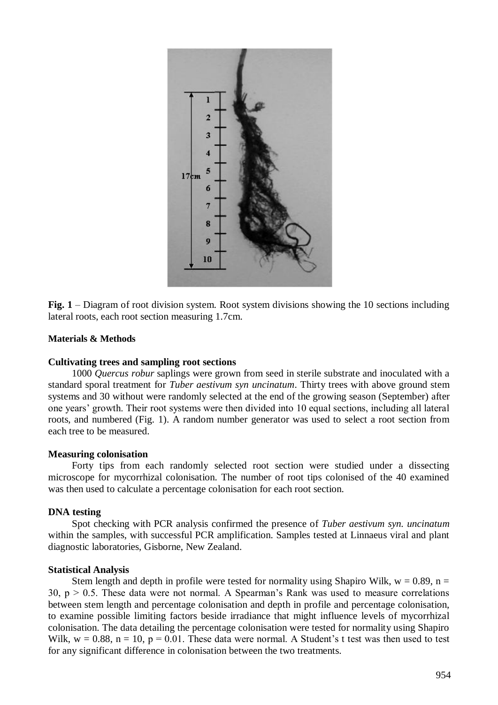

**Fig. 1** – Diagram of root division system. Root system divisions showing the 10 sections including lateral roots, each root section measuring 1.7cm.

### **Materials & Methods**

#### **Cultivating trees and sampling root sections**

1000 *Quercus robur* saplings were grown from seed in sterile substrate and inoculated with a standard sporal treatment for *Tuber aestivum syn uncinatum*. Thirty trees with above ground stem systems and 30 without were randomly selected at the end of the growing season (September) after one years' growth. Their root systems were then divided into 10 equal sections, including all lateral roots, and numbered (Fig. 1). A random number generator was used to select a root section from each tree to be measured.

#### **Measuring colonisation**

Forty tips from each randomly selected root section were studied under a dissecting microscope for mycorrhizal colonisation. The number of root tips colonised of the 40 examined was then used to calculate a percentage colonisation for each root section.

#### **DNA testing**

Spot checking with PCR analysis confirmed the presence of *Tuber aestivum syn. uncinatum*  within the samples, with successful PCR amplification. Samples tested at Linnaeus viral and plant diagnostic laboratories, Gisborne, New Zealand.

#### **Statistical Analysis**

Stem length and depth in profile were tested for normality using Shapiro Wilk,  $w = 0.89$ ,  $n =$ 30,  $p > 0.5$ . These data were not normal. A Spearman's Rank was used to measure correlations between stem length and percentage colonisation and depth in profile and percentage colonisation, to examine possible limiting factors beside irradiance that might influence levels of mycorrhizal colonisation. The data detailing the percentage colonisation were tested for normality using Shapiro Wilk,  $w = 0.88$ ,  $n = 10$ ,  $p = 0.01$ . These data were normal. A Student's t test was then used to test for any significant difference in colonisation between the two treatments.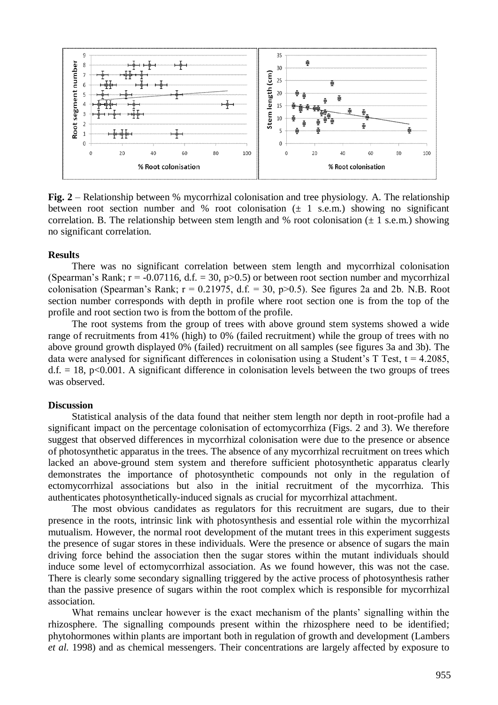

**Fig. 2** – Relationship between % mycorrhizal colonisation and tree physiology. A. The relationship between root section number and % root colonisation  $(\pm 1 \text{ s.e.m.})$  showing no significant correlation. B. The relationship between stem length and % root colonisation  $(\pm 1 \text{ s.e. m})$  showing no significant correlation.

### **Results**

There was no significant correlation between stem length and mycorrhizal colonisation (Spearman's Rank;  $r = -0.07116$ , d.f. = 30, p $> 0.5$ ) or between root section number and mycorrhizal colonisation (Spearman's Rank;  $r = 0.21975$ , d.f. = 30, p $> 0.5$ ). See figures 2a and 2b. N.B. Root section number corresponds with depth in profile where root section one is from the top of the profile and root section two is from the bottom of the profile.

The root systems from the group of trees with above ground stem systems showed a wide range of recruitments from 41% (high) to 0% (failed recruitment) while the group of trees with no above ground growth displayed 0% (failed) recruitment on all samples (see figures 3a and 3b). The data were analysed for significant differences in colonisation using a Student's  $T$  Test,  $t = 4.2085$ ,  $d.f. = 18$ ,  $p < 0.001$ . A significant difference in colonisation levels between the two groups of trees was observed.

#### **Discussion**

Statistical analysis of the data found that neither stem length nor depth in root-profile had a significant impact on the percentage colonisation of ectomycorrhiza (Figs. 2 and 3). We therefore suggest that observed differences in mycorrhizal colonisation were due to the presence or absence of photosynthetic apparatus in the trees. The absence of any mycorrhizal recruitment on trees which lacked an above-ground stem system and therefore sufficient photosynthetic apparatus clearly demonstrates the importance of photosynthetic compounds not only in the regulation of ectomycorrhizal associations but also in the initial recruitment of the mycorrhiza. This authenticates photosynthetically-induced signals as crucial for mycorrhizal attachment.

The most obvious candidates as regulators for this recruitment are sugars, due to their presence in the roots, intrinsic link with photosynthesis and essential role within the mycorrhizal mutualism. However, the normal root development of the mutant trees in this experiment suggests the presence of sugar stores in these individuals. Were the presence or absence of sugars the main driving force behind the association then the sugar stores within the mutant individuals should induce some level of ectomycorrhizal association. As we found however, this was not the case. There is clearly some secondary signalling triggered by the active process of photosynthesis rather than the passive presence of sugars within the root complex which is responsible for mycorrhizal association.

What remains unclear however is the exact mechanism of the plants' signalling within the rhizosphere. The signalling compounds present within the rhizosphere need to be identified; phytohormones within plants are important both in regulation of growth and development (Lambers *et al.* 1998) and as chemical messengers. Their concentrations are largely affected by exposure to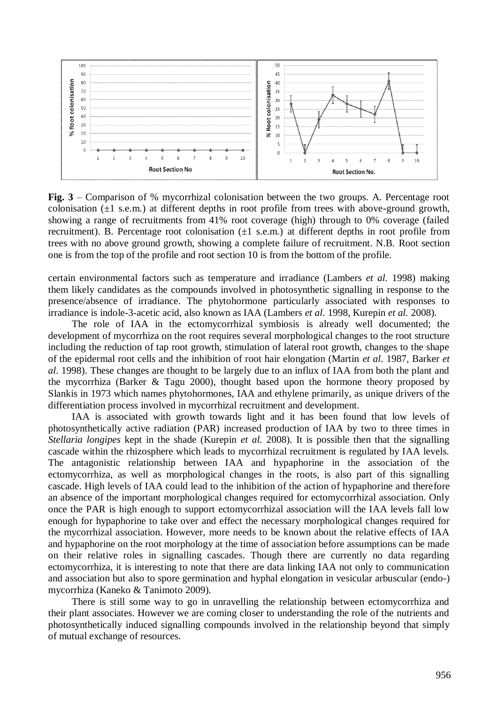

**Fig. 3** – Comparison of % mycorrhizal colonisation between the two groups. A. Percentage root colonisation  $(\pm 1 \text{ s.e.m.})$  at different depths in root profile from trees with above-ground growth, showing a range of recruitments from 41% root coverage (high) through to 0% coverage (failed recruitment). B. Percentage root colonisation  $(\pm 1 \text{ s.e.m.})$  at different depths in root profile from trees with no above ground growth, showing a complete failure of recruitment. N.B. Root section one is from the top of the profile and root section 10 is from the bottom of the profile.

certain environmental factors such as temperature and irradiance (Lambers *et al.* 1998) making them likely candidates as the compounds involved in photosynthetic signalling in response to the presence/absence of irradiance. The phytohormone particularly associated with responses to irradiance is indole-3-acetic acid, also known as IAA (Lambers *et al*. 1998, Kurepin *et al.* 2008).

The role of IAA in the ectomycorrhizal symbiosis is already well documented; the development of mycorrhiza on the root requires several morphological changes to the root structure including the reduction of tap root growth, stimulation of lateral root growth, changes to the shape of the epidermal root cells and the inhibition of root hair elongation (Martin *et al*. 1987, Barker *et al*. 1998). These changes are thought to be largely due to an influx of IAA from both the plant and the mycorrhiza (Barker & Tagu 2000), thought based upon the hormone theory proposed by Slankis in 1973 which names phytohormones, IAA and ethylene primarily, as unique drivers of the differentiation process involved in mycorrhizal recruitment and development.

IAA is associated with growth towards light and it has been found that low levels of photosynthetically active radiation (PAR) increased production of IAA by two to three times in *Stellaria longipes* kept in the shade (Kurepin *et al.* 2008). It is possible then that the signalling cascade within the rhizosphere which leads to mycorrhizal recruitment is regulated by IAA levels. The antagonistic relationship between IAA and hypaphorine in the association of the ectomycorrhiza, as well as morphological changes in the roots, is also part of this signalling cascade. High levels of IAA could lead to the inhibition of the action of hypaphorine and therefore an absence of the important morphological changes required for ectomycorrhizal association. Only once the PAR is high enough to support ectomycorrhizal association will the IAA levels fall low enough for hypaphorine to take over and effect the necessary morphological changes required for the mycorrhizal association. However, more needs to be known about the relative effects of IAA and hypaphorine on the root morphology at the time of association before assumptions can be made on their relative roles in signalling cascades. Though there are currently no data regarding ectomycorrhiza, it is interesting to note that there are data linking IAA not only to communication and association but also to spore germination and hyphal elongation in vesicular arbuscular (endo-) mycorrhiza (Kaneko & Tanimoto 2009).

There is still some way to go in unravelling the relationship between ectomycorrhiza and their plant associates. However we are coming closer to understanding the role of the nutrients and photosynthetically induced signalling compounds involved in the relationship beyond that simply of mutual exchange of resources.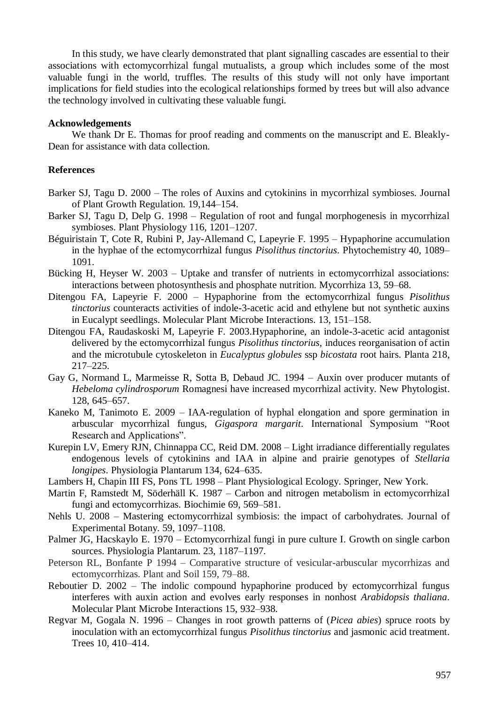In this study, we have clearly demonstrated that plant signalling cascades are essential to their associations with ectomycorrhizal fungal mutualists, a group which includes some of the most valuable fungi in the world, truffles. The results of this study will not only have important implications for field studies into the ecological relationships formed by trees but will also advance the technology involved in cultivating these valuable fungi.

#### **Acknowledgements**

We thank Dr E. Thomas for proof reading and comments on the manuscript and E. Bleakly-Dean for assistance with data collection.

### **References**

- Barker SJ, Tagu D. 2000 The roles of Auxins and cytokinins in mycorrhizal symbioses. Journal of Plant Growth Regulation. 19,144–154.
- Barker SJ, Tagu D, Delp G. 1998 Regulation of root and fungal morphogenesis in mycorrhizal symbioses. Plant Physiology 116, 1201–1207.
- Béguiristain T, Cote R, Rubini P, Jay-Allemand C, Lapeyrie F. 1995 Hypaphorine accumulation in the hyphae of the ectomycorrhizal fungus *Pisolithus tinctorius*. Phytochemistry 40, 1089– 1091.
- Bücking H, Heyser W. 2003 Uptake and transfer of nutrients in ectomycorrhizal associations: interactions between photosynthesis and phosphate nutrition. Mycorrhiza 13, 59–68.
- Ditengou FA, Lapeyrie F. 2000 Hypaphorine from the ectomycorrhizal fungus *Pisolithus tinctorius* counteracts activities of indole-3-acetic acid and ethylene but not synthetic auxins in Eucalypt seedlings. Molecular Plant Microbe Interactions. 13, 151–158.
- Ditengou FA, Raudaskoski M, Lapeyrie F. 2003.Hypaphorine, an indole-3-acetic acid antagonist delivered by the ectomycorrhizal fungus *Pisolithus tinctorius*, induces reorganisation of actin and the microtubule cytoskeleton in *Eucalyptus globules* ssp *bicostata* root hairs. Planta 218, 217–225.
- Gay G, Normand L, Marmeisse R, Sotta B, Debaud JC. 1994 Auxin over producer mutants of *Hebeloma cylindrosporum* Romagnesi have increased mycorrhizal activity. New Phytologist. 128, 645–657.
- Kaneko M, Tanimoto E. 2009 IAA-regulation of hyphal elongation and spore germination in arbuscular mycorrhizal fungus, *Gigaspora margarit*. International Symposium "Root Research and Applications".
- Kurepin LV, Emery RJN, Chinnappa CC, Reid DM. 2008 Light irradiance differentially regulates endogenous levels of cytokinins and IAA in alpine and prairie genotypes of *Stellaria longipes*. Physiologia Plantarum 134, 624–635.
- Lambers H, Chapin III FS, Pons TL 1998 Plant Physiological Ecology. Springer, New York.
- Martin F, Ramstedt M, Söderhäll K. 1987 Carbon and nitrogen metabolism in ectomycorrhizal fungi and ectomycorrhizas. Biochimie 69, 569–581.
- Nehls U. 2008 Mastering ectomycorrhizal symbiosis: the impact of carbohydrates. Journal of Experimental Botany. 59, 1097–1108.
- Palmer JG, Hacskaylo E. 1970 Ectomycorrhizal fungi in pure culture I. Growth on single carbon sources. Physiologia Plantarum. 23, 1187–1197.
- Peterson RL, Bonfante P 1994 Comparative structure of vesicular-arbuscular mycorrhizas and ectomycorrhizas. Plant and Soil 159, 79–88.
- Reboutier D. 2002 The indolic compound hypaphorine produced by ectomycorrhizal fungus interferes with auxin action and evolves early responses in nonhost *Arabidopsis thaliana*. Molecular Plant Microbe Interactions 15, 932–938.
- Regvar M, Gogala N. 1996 Changes in root growth patterns of (*Picea abies*) spruce roots by inoculation with an ectomycorrhizal fungus *Pisolithus tinctorius* and jasmonic acid treatment. Trees 10, 410–414.